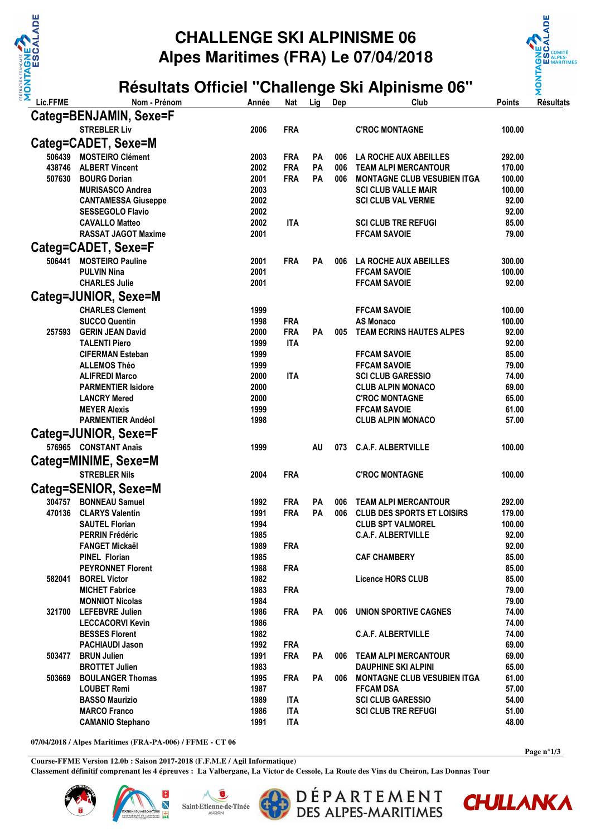

## **CHALLENGE SKI ALPINISME 06 Alpes Maritimes (FRA) Le 07/04/2018**





**07/04/2018 / Alpes Maritimes (FRA-PA-006) / FFME - CT 06** 

**Course-FFME Version 12.0b : Saison 2017-2018 (F.F.M.E / Agil Informatique) Classement définitif comprenant les 4 épreuves : La Valbergane, La Victor de Cessole, La Route des Vins du Cheiron, Las Donnas Tour**







DÉPARTEMENT<br>DES ALPES-MARITIMES



**Page n°1/3**

Ş **IXJ** <u>ள்</u>

**ALNOW**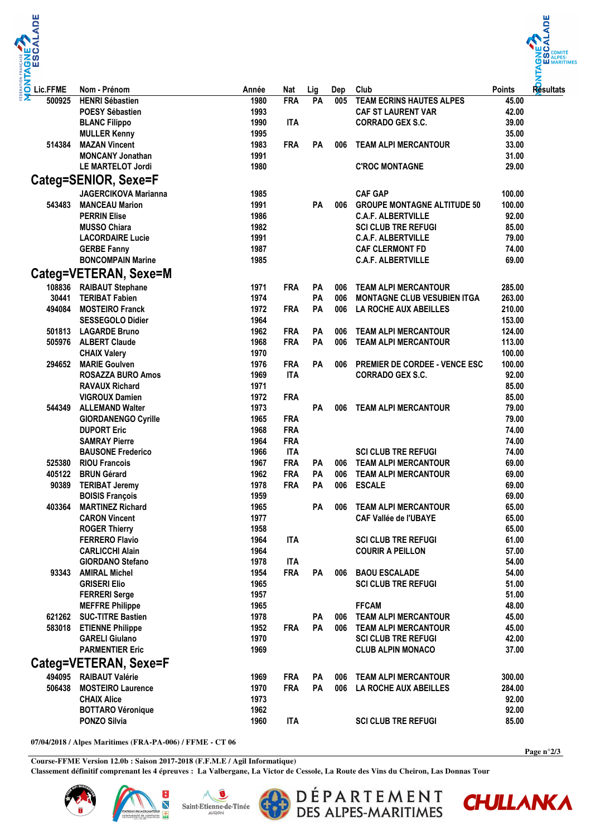



| Lic.FFME | Nom - Prénom                | Année | <b>Nat</b> | Lig | Dep | Club                                 | <b>Points</b> | Resultats |
|----------|-----------------------------|-------|------------|-----|-----|--------------------------------------|---------------|-----------|
| 500925   | <b>HENRI Sébastien</b>      | 1980  | <b>FRA</b> | PA  | 005 | <b>TEAM ECRINS HAUTES ALPES</b>      | 45.00         |           |
|          | <b>POESY Sébastien</b>      | 1993  |            |     |     | <b>CAF ST LAURENT VAR</b>            | 42.00         |           |
|          | <b>BLANC Filippo</b>        | 1990  | <b>ITA</b> |     |     | <b>CORRADO GEX S.C.</b>              | 39.00         |           |
|          | <b>MULLER Kenny</b>         | 1995  |            |     |     |                                      | 35.00         |           |
| 514384   | <b>MAZAN Vincent</b>        | 1983  | <b>FRA</b> | PA  | 006 | <b>TEAM ALPI MERCANTOUR</b>          | 33.00         |           |
|          | <b>MONCANY Jonathan</b>     | 1991  |            |     |     |                                      | 31.00         |           |
|          | <b>LE MARTELOT Jordi</b>    | 1980  |            |     |     | <b>C'ROC MONTAGNE</b>                | 29.00         |           |
|          | Categ=SENIOR, Sexe=F        |       |            |     |     |                                      |               |           |
|          | <b>JAGERCIKOVA Marianna</b> | 1985  |            |     |     | <b>CAF GAP</b>                       | 100.00        |           |
| 543483   | <b>MANCEAU Marion</b>       | 1991  |            | PA  | 006 | <b>GROUPE MONTAGNE ALTITUDE 50</b>   | 100.00        |           |
|          | <b>PERRIN Elise</b>         | 1986  |            |     |     | <b>C.A.F. ALBERTVILLE</b>            | 92.00         |           |
|          | <b>MUSSO Chiara</b>         | 1982  |            |     |     | <b>SCI CLUB TRE REFUGI</b>           | 85.00         |           |
|          | <b>LACORDAIRE Lucie</b>     | 1991  |            |     |     | <b>C.A.F. ALBERTVILLE</b>            | 79.00         |           |
|          | <b>GERBE Fanny</b>          | 1987  |            |     |     | <b>CAF CLERMONT FD</b>               | 74.00         |           |
|          | <b>BONCOMPAIN Marine</b>    | 1985  |            |     |     | <b>C.A.F. ALBERTVILLE</b>            | 69.00         |           |
|          |                             |       |            |     |     |                                      |               |           |
|          | Categ=VETERAN, Sexe=M       |       |            |     |     |                                      |               |           |
| 108836   | <b>RAIBAUT Stephane</b>     | 1971  | <b>FRA</b> | PA  | 006 | <b>TEAM ALPI MERCANTOUR</b>          | 285.00        |           |
| 30441    | <b>TERIBAT Fabien</b>       | 1974  |            | PA  | 006 | <b>MONTAGNE CLUB VESUBIEN ITGA</b>   | 263.00        |           |
| 494084   | <b>MOSTEIRO Franck</b>      | 1972  | <b>FRA</b> | PA  | 006 | LA ROCHE AUX ABEILLES                | 210.00        |           |
|          | <b>SESSEGOLO Didier</b>     | 1964  |            |     |     |                                      | 153.00        |           |
| 501813   | <b>LAGARDE Bruno</b>        | 1962  | <b>FRA</b> | PA  | 006 | <b>TEAM ALPI MERCANTOUR</b>          | 124.00        |           |
| 505976   | <b>ALBERT Claude</b>        | 1968  | <b>FRA</b> | PA  | 006 | <b>TEAM ALPI MERCANTOUR</b>          | 113.00        |           |
|          | <b>CHAIX Valery</b>         | 1970  |            |     |     |                                      | 100.00        |           |
| 294652   | <b>MARIE Goulven</b>        | 1976  | <b>FRA</b> | PA  | 006 | <b>PREMIER DE CORDEE - VENCE ESC</b> | 100.00        |           |
|          | <b>ROSAZZA BURO Amos</b>    | 1969  | <b>ITA</b> |     |     | <b>CORRADO GEX S.C.</b>              | 92.00         |           |
|          | <b>RAVAUX Richard</b>       | 1971  |            |     |     |                                      | 85.00         |           |
|          | <b>VIGROUX Damien</b>       | 1972  | <b>FRA</b> |     |     |                                      | 85.00         |           |
| 544349   | <b>ALLEMAND Walter</b>      | 1973  |            | PA  | 006 | <b>TEAM ALPI MERCANTOUR</b>          | 79.00         |           |
|          | <b>GIORDANENGO Cyrille</b>  | 1965  | <b>FRA</b> |     |     |                                      | 79.00         |           |
|          | <b>DUPORT Eric</b>          | 1968  | <b>FRA</b> |     |     |                                      | 74.00         |           |
|          | <b>SAMRAY Pierre</b>        | 1964  | <b>FRA</b> |     |     |                                      | 74.00         |           |
|          | <b>BAUSONE Frederico</b>    | 1966  | <b>ITA</b> |     |     | <b>SCI CLUB TRE REFUGI</b>           | 74.00         |           |
| 525380   | <b>RIOU Francois</b>        | 1967  | <b>FRA</b> | PA  | 006 | <b>TEAM ALPI MERCANTOUR</b>          | 69.00         |           |
| 405122   | <b>BRUN Gérard</b>          | 1962  | <b>FRA</b> | PA  | 006 | <b>TEAM ALPI MERCANTOUR</b>          | 69.00         |           |
| 90389    | <b>TERIBAT Jeremy</b>       | 1978  | <b>FRA</b> | PA  | 006 | <b>ESCALE</b>                        | 69.00         |           |
|          | <b>BOISIS François</b>      | 1959  |            |     |     |                                      | 69.00         |           |
| 403364   | <b>MARTINEZ Richard</b>     | 1965  |            | PA  | 006 | <b>TEAM ALPI MERCANTOUR</b>          | 65.00         |           |
|          | <b>CARON Vincent</b>        | 1977  |            |     |     | <b>CAF Vallée de l'UBAYE</b>         | 65.00         |           |
|          | <b>ROGER Thierry</b>        | 1958  |            |     |     |                                      | 65.00         |           |
|          | <b>FERRERO Flavio</b>       | 1964  | <b>ITA</b> |     |     | <b>SCI CLUB TRE REFUGI</b>           | 61.00         |           |
|          | <b>CARLICCHI Alain</b>      | 1964  |            |     |     | <b>COURIR A PEILLON</b>              | 57.00         |           |
|          | <b>GIORDANO Stefano</b>     | 1978  | ITA        |     |     |                                      | 54.00         |           |
| 93343    | <b>AMIRAL Michel</b>        | 1954  | <b>FRA</b> | PA  | 006 | <b>BAOU ESCALADE</b>                 | 54.00         |           |
|          | <b>GRISERI Elio</b>         | 1965  |            |     |     | <b>SCI CLUB TRE REFUGI</b>           | 51.00         |           |
|          | <b>FERRERI Serge</b>        | 1957  |            |     |     |                                      | 51.00         |           |
|          | <b>MEFFRE Philippe</b>      | 1965  |            |     |     | <b>FFCAM</b>                         | 48.00         |           |
|          | 621262 SUC-TITRE Bastien    | 1978  |            | PA  | 006 | <b>TEAM ALPI MERCANTOUR</b>          | 45.00         |           |
|          | 583018 ETIENNE Philippe     | 1952  | <b>FRA</b> | PA  | 006 | <b>TEAM ALPI MERCANTOUR</b>          | 45.00         |           |
|          | <b>GARELI Giulano</b>       | 1970  |            |     |     | <b>SCI CLUB TRE REFUGI</b>           | 42.00         |           |
|          | <b>PARMENTIER Eric</b>      | 1969  |            |     |     | <b>CLUB ALPIN MONACO</b>             | 37.00         |           |
|          | Categ=VETERAN, Sexe=F       |       |            |     |     |                                      |               |           |
|          | 494095 RAIBAUT Valérie      | 1969  | <b>FRA</b> | PA  | 006 | <b>TEAM ALPI MERCANTOUR</b>          | 300.00        |           |
| 506438   | <b>MOSTEIRO Laurence</b>    | 1970  | <b>FRA</b> | PA  | 006 | LA ROCHE AUX ABEILLES                | 284.00        |           |
|          | <b>CHAIX Alice</b>          | 1973  |            |     |     |                                      | 92.00         |           |
|          | <b>BOTTARO Véronique</b>    | 1962  |            |     |     |                                      | 92.00         |           |
|          | <b>PONZO Silvia</b>         | 1960  | <b>ITA</b> |     |     | <b>SCI CLUB TRE REFUGI</b>           | 85.00         |           |
|          |                             |       |            |     |     |                                      |               |           |

**07/04/2018 / Alpes Maritimes (FRA-PA-006) / FFME - CT 06** 

**Course-FFME Version 12.0b : Saison 2017-2018 (F.F.M.E / Agil Informatique) Classement définitif comprenant les 4 épreuves : La Valbergane, La Victor de Cessole, La Route des Vins du Cheiron, Las Donnas Tour**





в

**NET** 



DÉPARTEMENT<br>DES ALPES-MARITIMES



**CHULLANKA**